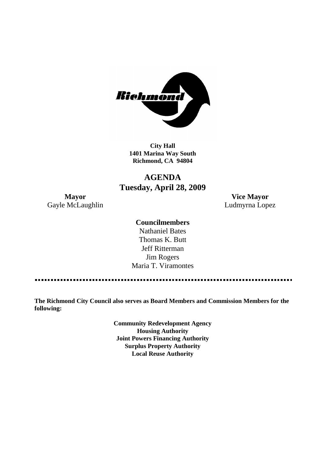

**City Hall 1401 Marina Way South Richmond, CA 94804**

# **AGENDA Tuesday, April 28, 2009**

Gayle McLaughlin **Ludmyrna Lopez** 

**Mayor Vice Mayor**

### **Councilmembers**

Nathaniel Bates Thomas K. Butt Jeff Ritterman Jim Rogers Maria T. Viramontes

**The Richmond City Council also serves as Board Members and Commission Members for the following:**

> **Community Redevelopment Agency Housing Authority Joint Powers Financing Authority Surplus Property Authority Local Reuse Authority**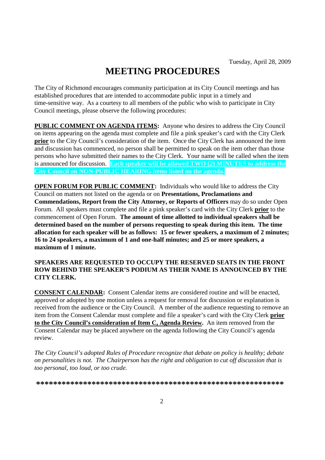# **MEETING PROCEDURES**

The City of Richmond encourages community participation at its City Council meetings and has established procedures that are intended to accommodate public input in a timely and time-sensitive way. As a courtesy to all members of the public who wish to participate in City Council meetings, please observe the following procedures:

**PUBLIC COMMENT ON AGENDA ITEMS:** Anyone who desires to address the City Council on items appearing on the agenda must complete and file a pink speaker's card with the City Clerk **prior** to the City Council's consideration of the item. Once the City Clerk has announced the item and discussion has commenced, no person shall be permitted to speak on the item other than those persons who have submitted their names to the City Clerk. Your name will be called when the item is announced for discussion. **Each speaker will be allowed TWO (2) MINUTES to address the City Council on NON-PUBLIC HEARING items listed on the agenda.**

**OPEN FORUM FOR PUBLIC COMMENT:** Individuals who would like to address the City Council on matters not listed on the agenda or on **Presentations, Proclamations and Commendations, Report from the City Attorney, or Reports of Officers** may do so under Open Forum. All speakers must complete and file a pink speaker's card with the City Clerk **prior** to the commencement of Open Forum. **The amount of time allotted to individual speakers shall be determined based on the number of persons requesting to speak during this item. The time allocation for each speaker will be as follows: 15 or fewer speakers, a maximum of 2 minutes; 16 to 24 speakers, a maximum of 1 and one-half minutes; and 25 or more speakers, a maximum of 1 minute.**

#### **SPEAKERS ARE REQUESTED TO OCCUPY THE RESERVED SEATS IN THE FRONT ROW BEHIND THE SPEAKER'S PODIUM AS THEIR NAME IS ANNOUNCED BY THE CITY CLERK.**

**CONSENT CALENDAR:** Consent Calendar items are considered routine and will be enacted, approved or adopted by one motion unless a request for removal for discussion or explanation is received from the audience or the City Council. A member of the audience requesting to remove an item from the Consent Calendar must complete and file a speaker's card with the City Clerk **prior to the City Council's consideration of Item C, Agenda Review.** An item removed from the Consent Calendar may be placed anywhere on the agenda following the City Council's agenda review.

*The City Council's adopted Rules of Procedure recognize that debate on policy is healthy; debate on personalities is not. The Chairperson has the right and obligation to cut off discussion that is too personal, too loud, or too crude.*

**\*\*\*\*\*\*\*\*\*\*\*\*\*\*\*\*\*\*\*\*\*\*\*\*\*\*\*\*\*\*\*\*\*\*\*\*\*\*\*\*\*\*\*\*\*\*\*\*\*\*\*\*\*\*\*\*\*\***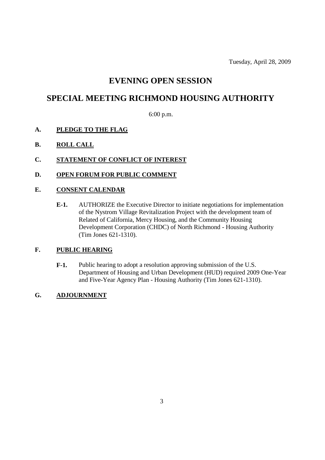Tuesday, April 28, 2009

# **EVENING OPEN SESSION**

# **SPECIAL MEETING RICHMOND HOUSING AUTHORITY**

6:00 p.m.

- **A. PLEDGE TO THE FLAG**
- **B. ROLL CALL**
- **C. STATEMENT OF CONFLICT OF INTEREST**
- **D. OPEN FORUM FOR PUBLIC COMMENT**

### **E. CONSENT CALENDAR**

**E-1.** AUTHORIZE the Executive Director to initiate negotiations for implementation of the Nystrom Village Revitalization Project with the development team of Related of California, Mercy Housing, and the Community Housing Development Corporation (CHDC) of North Richmond - Housing Authority (Tim Jones 621-1310).

### **F. PUBLIC HEARING**

**F-1.** Public hearing to adopt a resolution approving submission of the U.S. Department of Housing and Urban Development (HUD) required 2009 One-Year and Five-Year Agency Plan - Housing Authority (Tim Jones 621-1310).

### **G. ADJOURNMENT**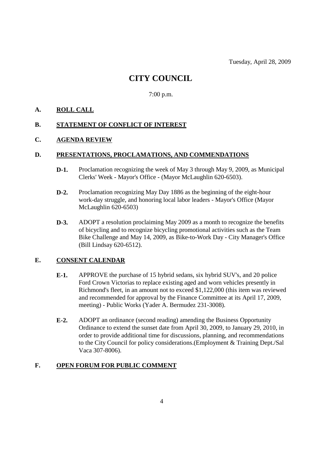# **CITY COUNCIL**

7:00 p.m.

## **A. ROLL CALL**

### **B. STATEMENT OF CONFLICT OF INTEREST**

### **C. AGENDA REVIEW**

#### **D. PRESENTATIONS, PROCLAMATIONS, AND COMMENDATIONS**

- **D-1.** Proclamation recognizing the week of May 3 through May 9, 2009, as Municipal Clerks' Week - Mayor's Office - (Mayor McLaughlin 620-6503).
- **D-2.** Proclamation recognizing May Day 1886 as the beginning of the eight-hour work-day struggle, and honoring local labor leaders - Mayor's Office (Mayor McLaughlin 620-6503)
- **D-3.** ADOPT a resolution proclaiming May 2009 as a month to recognize the benefits of bicycling and to recognize bicycling promotional activities such as the Team Bike Challenge and May 14, 2009, as Bike-to-Work Day - City Manager's Office (Bill Lindsay 620-6512).

## **E. CONSENT CALENDAR**

- **E-1.** APPROVE the purchase of 15 hybrid sedans, six hybrid SUV's, and 20 police Ford Crown Victorias to replace existing aged and worn vehicles presently in Richmond's fleet, in an amount not to exceed \$1,122,000 (this item was reviewed and recommended for approval by the Finance Committee at its April 17, 2009, meeting) - Public Works (Yader A. Bermudez 231-3008).
- **E-2.** ADOPT an ordinance (second reading) amending the Business Opportunity Ordinance to extend the sunset date from April 30, 2009, to January 29, 2010, in order to provide additional time for discussions, planning, and recommendations to the City Council for policy considerations.(Employment & Training Dept./Sal Vaca 307-8006).

#### **F. OPEN FORUM FOR PUBLIC COMMENT**